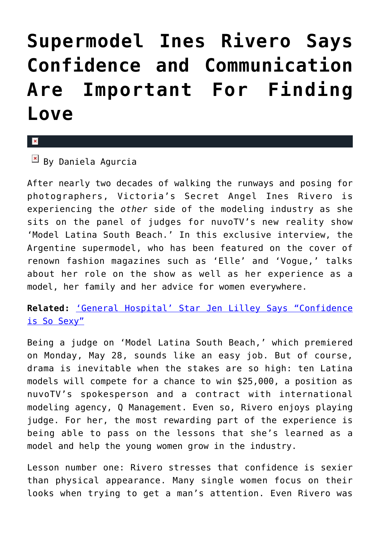## **[Supermodel Ines Rivero Says](https://cupidspulse.com/33358/exclusive-interview-ines-rivero-model-latina-south-beach/) [Confidence and Communication](https://cupidspulse.com/33358/exclusive-interview-ines-rivero-model-latina-south-beach/) [Are Important For Finding](https://cupidspulse.com/33358/exclusive-interview-ines-rivero-model-latina-south-beach/) [Love](https://cupidspulse.com/33358/exclusive-interview-ines-rivero-model-latina-south-beach/)**

## $\pmb{\times}$

 $\overline{B}$  By Daniela Agurcia

After nearly two decades of walking the runways and posing for photographers, Victoria's Secret Angel Ines Rivero is experiencing the *other* side of the modeling industry as she sits on the panel of judges for nuvoTV's new reality show 'Model Latina South Beach.' In this exclusive interview, the Argentine supermodel, who has been featured on the cover of renown fashion magazines such as 'Elle' and 'Vogue,' talks about her role on the show as well as her experience as a model, her family and her advice for women everywhere.

**Related:** ['General Hospital' Star Jen Lilley Says "Confidence](http://cupidspulse.com/general-hospitals-jen-lilley-maxie-jones-confidence-is-so-sexy-relationships/) [is So Sexy"](http://cupidspulse.com/general-hospitals-jen-lilley-maxie-jones-confidence-is-so-sexy-relationships/)

Being a judge on 'Model Latina South Beach,' which premiered on Monday, May 28, sounds like an easy job. But of course, drama is inevitable when the stakes are so high: ten Latina models will compete for a chance to win \$25,000, a position as nuvoTV's spokesperson and a contract with international modeling agency, Q Management. Even so, Rivero enjoys playing judge. For her, the most rewarding part of the experience is being able to pass on the lessons that she's learned as a model and help the young women grow in the industry.

Lesson number one: Rivero stresses that confidence is sexier than physical appearance. Many single women focus on their looks when trying to get a man's attention. Even Rivero was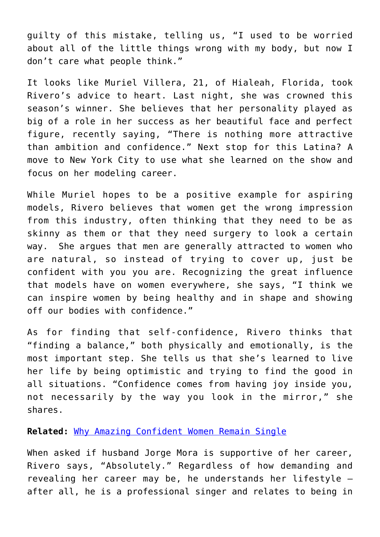guilty of this mistake, telling us, "I used to be worried about all of the little things wrong with my body, but now I don't care what people think."

It looks like Muriel Villera, 21, of Hialeah, Florida, took Rivero's advice to heart. Last night, she was crowned this season's winner. She believes that her personality played as big of a role in her success as her beautiful face and perfect figure, recently saying, "There is nothing more attractive than ambition and confidence." Next stop for this Latina? A move to New York City to use what she learned on the show and focus on her modeling career.

While Muriel hopes to be a positive example for aspiring models, Rivero believes that women get the wrong impression from this industry, often thinking that they need to be as skinny as them or that they need surgery to look a certain way. She argues that men are generally attracted to women who are natural, so instead of trying to cover up, just be confident with you you are. Recognizing the great influence that models have on women everywhere, she says, "I think we can inspire women by being healthy and in shape and showing off our bodies with confidence."

As for finding that self-confidence, Rivero thinks that "finding a balance," both physically and emotionally, is the most important step. She tells us that she's learned to live her life by being optimistic and trying to find the good in all situations. "Confidence comes from having joy inside you, not necessarily by the way you look in the mirror," she shares.

## **Related:** [Why Amazing Confident Women Remain Single](http://cupidspulse.com/why-amazing-confident-women-remain-single-amber-soletti-onspeeddating-guest/)

When asked if husband Jorge Mora is supportive of her career, Rivero says, "Absolutely." Regardless of how demanding and revealing her career may be, he understands her lifestyle – after all, he is a professional singer and relates to being in